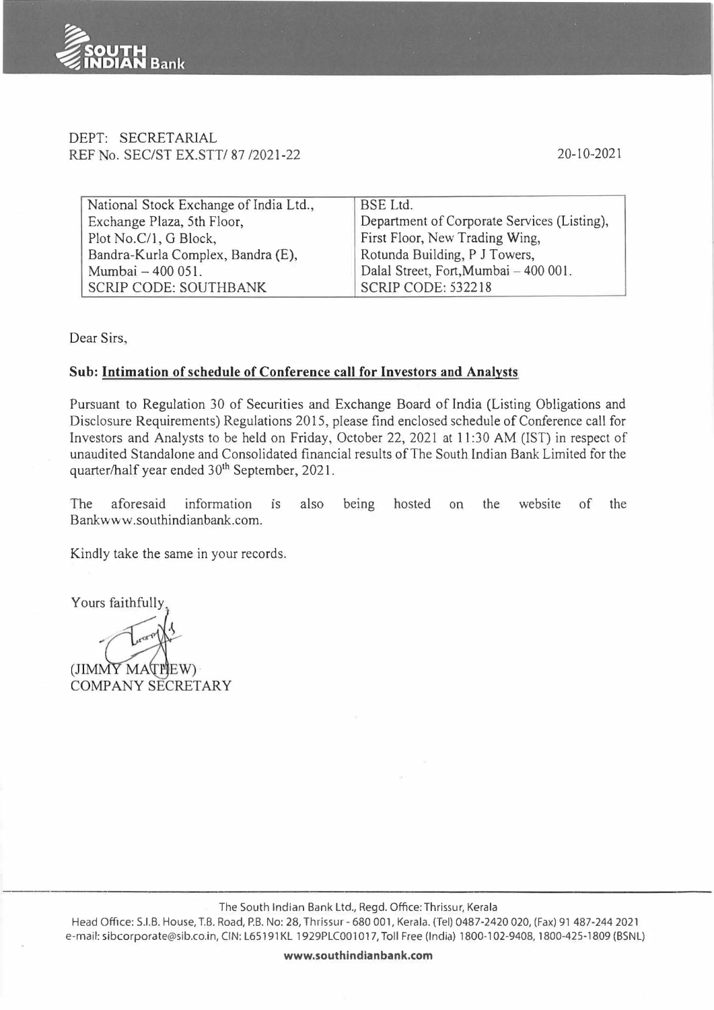

#### DEPT: SECRETARIAL REF No. SEC/ST EX.STT/ 87 /2021-22

20-10-2021

| National Stock Exchange of India Ltd., | <b>BSE</b> Ltd.                             |  |
|----------------------------------------|---------------------------------------------|--|
| Exchange Plaza, 5th Floor,             | Department of Corporate Services (Listing), |  |
| Plot No.C/1, G Block,                  | First Floor, New Trading Wing,              |  |
| Bandra-Kurla Complex, Bandra (E),      | Rotunda Building, P J Towers,               |  |
| Mumbai - 400 051.                      | Dalal Street, Fort, Mumbai - 400 001.       |  |
| <b>SCRIP CODE: SOUTHBANK</b>           | SCRIP CODE: 532218                          |  |

Dear Sirs,

#### **Sub: Intimation of schedule of Conference call for Investors and Analysts**

Pursuant to Regulation 30 of Securities and Exchange Board of India (Listing Obligations and Disclosure Requirements) Regulations 2015, please find enclosed schedule of Conference call for Investors and Analysts to be held on Friday, October 22, 2021 at 11 :30 AM (IST) in respect of unaudited Standalone and Consolidated financial results of The South Indian Bank Limited for the quarter/half year ended 30<sup>th</sup> September, 2021.

The aforesaid information 1s also being hosted on the website of the Bankwww.southindianbank.com.

Kindly take the same in your records.

Yours faithfully

(JIMMY MATHEW) **COMPANY SECRETARY**